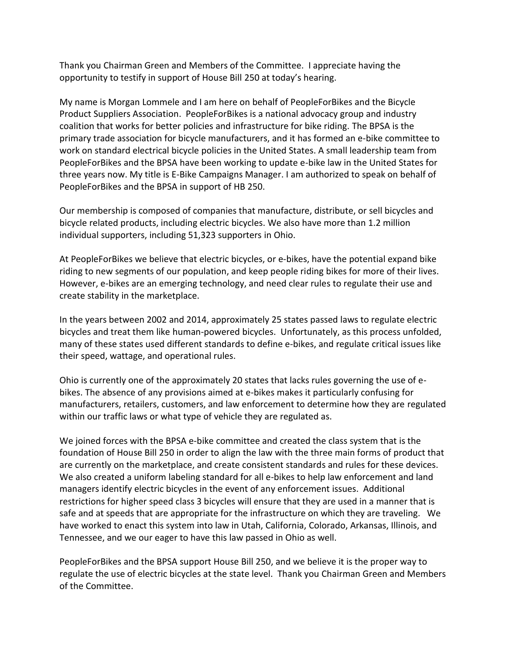Thank you Chairman Green and Members of the Committee. I appreciate having the opportunity to testify in support of House Bill 250 at today's hearing.

My name is Morgan Lommele and I am here on behalf of PeopleForBikes and the Bicycle Product Suppliers Association. PeopleForBikes is a national advocacy group and industry coalition that works for better policies and infrastructure for bike riding. The BPSA is the primary trade association for bicycle manufacturers, and it has formed an e-bike committee to work on standard electrical bicycle policies in the United States. A small leadership team from PeopleForBikes and the BPSA have been working to update e-bike law in the United States for three years now. My title is E-Bike Campaigns Manager. I am authorized to speak on behalf of PeopleForBikes and the BPSA in support of HB 250.

Our membership is composed of companies that manufacture, distribute, or sell bicycles and bicycle related products, including electric bicycles. We also have more than 1.2 million individual supporters, including 51,323 supporters in Ohio.

At PeopleForBikes we believe that electric bicycles, or e-bikes, have the potential expand bike riding to new segments of our population, and keep people riding bikes for more of their lives. However, e-bikes are an emerging technology, and need clear rules to regulate their use and create stability in the marketplace.

In the years between 2002 and 2014, approximately 25 states passed laws to regulate electric bicycles and treat them like human-powered bicycles. Unfortunately, as this process unfolded, many of these states used different standards to define e-bikes, and regulate critical issues like their speed, wattage, and operational rules.

Ohio is currently one of the approximately 20 states that lacks rules governing the use of ebikes. The absence of any provisions aimed at e-bikes makes it particularly confusing for manufacturers, retailers, customers, and law enforcement to determine how they are regulated within our traffic laws or what type of vehicle they are regulated as.

We joined forces with the BPSA e-bike committee and created the class system that is the foundation of House Bill 250 in order to align the law with the three main forms of product that are currently on the marketplace, and create consistent standards and rules for these devices. We also created a uniform labeling standard for all e-bikes to help law enforcement and land managers identify electric bicycles in the event of any enforcement issues. Additional restrictions for higher speed class 3 bicycles will ensure that they are used in a manner that is safe and at speeds that are appropriate for the infrastructure on which they are traveling. We have worked to enact this system into law in Utah, California, Colorado, Arkansas, Illinois, and Tennessee, and we our eager to have this law passed in Ohio as well.

PeopleForBikes and the BPSA support House Bill 250, and we believe it is the proper way to regulate the use of electric bicycles at the state level. Thank you Chairman Green and Members of the Committee.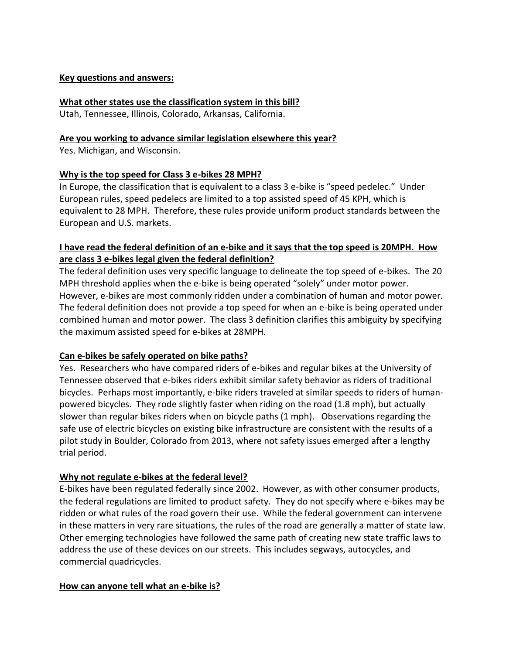#### **Key questions and answers:**

#### **What other states use the classification system in this bill?**

Utah, Tennessee, Illinois, Colorado, Arkansas, California.

#### **Are you working to advance similar legislation elsewhere this year?**

Yes. Michigan, and Wisconsin.

### **Why is the top speed for Class 3 e-bikes 28 MPH?**

In Europe, the classification that is equivalent to a class 3 e-bike is "speed pedelec." Under European rules, speed pedelecs are limited to a top assisted speed of 45 KPH, which is equivalent to 28 MPH. Therefore, these rules provide uniform product standards between the European and U.S. markets.

## **I have read the federal definition of an e-bike and it says that the top speed is 20MPH. How are class 3 e-bikes legal given the federal definition?**

The federal definition uses very specific language to delineate the top speed of e-bikes. The 20 MPH threshold applies when the e-bike is being operated "solely" under motor power. However, e-bikes are most commonly ridden under a combination of human and motor power. The federal definition does not provide a top speed for when an e-bike is being operated under combined human and motor power. The class 3 definition clarifies this ambiguity by specifying the maximum assisted speed for e-bikes at 28MPH.

### **Can e-bikes be safely operated on bike paths?**

Yes. Researchers who have compared riders of e-bikes and regular bikes at the University of Tennessee observed that e-bikes riders exhibit similar safety behavior as riders of traditional bicycles. Perhaps most importantly, e-bike riders traveled at similar speeds to riders of humanpowered bicycles. They rode slightly faster when riding on the road (1.8 mph), but actually slower than regular bikes riders when on bicycle paths (1 mph). Observations regarding the safe use of electric bicycles on existing bike infrastructure are consistent with the results of a pilot study in Boulder, Colorado from 2013, where not safety issues emerged after a lengthy trial period.

### **Why not regulate e-bikes at the federal level?**

E-bikes have been regulated federally since 2002. However, as with other consumer products, the federal regulations are limited to product safety. They do not specify where e-bikes may be ridden or what rules of the road govern their use. While the federal government can intervene in these matters in very rare situations, the rules of the road are generally a matter of state law. Other emerging technologies have followed the same path of creating new state traffic laws to address the use of these devices on our streets. This includes segways, autocycles, and commercial quadricycles.

### **How can anyone tell what an e-bike is?**